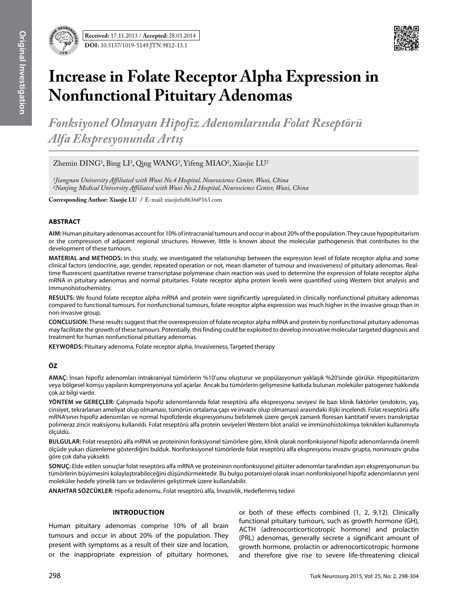

# **Increase in Folate Receptor Alpha Expression in Nonfunctional Pituitary Adenomas**

*Fonksiyonel Olmayan Hipofiz Adenomlarında Folat Reseptörü Alfa Ekspresyonunda Artış* 

 $Z$ hemin  $DING<sup>1</sup>$ , Bing LI<sup>2</sup>, Qing WANG<sup>2</sup>, Yifeng MIAO<sup>2</sup>, Xiaojie LU<sup>2</sup>

*1Jiangnan University Affiliated with Wuxi No.4 Hospital, Neuroscience Center, Wuxi, China 2Nanjing Medical University Affiliated with Wuxi No.2 Hospital, Neuroscience Center, Wuxi, China*

**Corresponding Author: Xiaojie Lu /** E-mail: xiaojielu8636@163.com

# **ABSTRACT**

**AIm:** Human pituitary adenomas account for 10% of intracranial tumours and occur in about 20% of the population. They cause hypopituitarism or the compression of adjacent regional structures. However, little is known about the molecular pathogenesis that contributes to the development of these tumours.

**MaterIal and Methods:** In this study, we investigated the relationship between the expression level of folate receptor alpha and some clinical factors (endocrine, age, gender, repeated operation or not, mean diameter of tumour and invasiveness) of pituitary adenomas. Realtime fluorescent quantitative reverse transcriptase polymerase chain reaction was used to determine the expression of folate receptor alpha mRNA in pituitary adenomas and normal pituitaries. Folate receptor alpha protein levels were quantified using Western blot analysis and Immunohistochemistry.

**Results:** We found folate receptor alpha mRNA and protein were significantly upregulated in clinically nonfunctional pituitary adenomas compared to functional tumours. For nonfunctional tumours, folate receptor alpha expression was much higher in the invasive group than in non-invasive group.

**ConclusIon:** These results suggest that the overexpression of folate receptor alpha mRNA and protein by nonfunctional pituitary adenomas may facilitate the growth of these tumours. Potentially, this finding could be exploited to develop innovative molecular targeted diagnosis and treatment for human nonfunctional pituitary adenomas.

**Keywords:** Pituitary adenoma, Folate receptor alpha, Invasiveness, Targeted therapy

# **ÖZ**

**AMAÇ:** İnsan hipofiz adenomları intrakraniyal tümörlerin %10'unu oluşturur ve popülasyonun yaklaşık %20'sinde görülür. Hipopitüitarizm veya bölgesel komşu yapıların kompresyonuna yol açarlar. Ancak bu tümörlerin gelişmesine katkıda bulunan moleküler patogenez hakkında çok az bilgi vardır.

**YÖNTEM ve GEREÇLER:** Çalışmada hipofiz adenomlarında folat reseptörü alfa ekspresyonu seviyesi ile bazı klinik faktörler (endokrin, yaş, cinsiyet, tekrarlanan ameliyat olup olmaması, tümörün ortalama çapı ve invaziv olup olmaması) arasındaki ilişki incelendi. Folat reseptörü alfa mRNA'sının hipofiz adenomları ve normal hipofizlerde ekspresyonunu belirlemek üzere gerçek zamanlı floresan kantitatif revers transkriptaz polimeraz zincir reaksiyonu kullanıldı. Folat reseptörü alfa protein seviyeleri Western blot analizi ve immünohistokimya teknikleri kullanımıyla ölçüldü.

**BULGULAR:** Folat reseptörü alfa mRNA ve proteininin fonksiyonel tümörlere göre, klinik olarak nonfonksiyonel hipofiz adenomlarında önemli ölçüde yukarı düzenleme gösterdiğini bulduk. Nonfonksiyonel tümörlerde folat reseptörü alfa ekspresyonu invaziv grupta, noninvaziv gruba göre çok daha yüksekti.

**SONUÇ:** Elde edilen sonuçlar folat reseptörü alfa mRNA ve proteininin nonfonksiyonel pitüiter adenomlar tarafından aşırı ekspresyonunun bu tümörlerin büyümesini kolaylaştırabileceğini düşündürmektedir. Bu bulgu potansiyel olarak insan nonfonksiyonel hipofiz adenomlarının yeni moleküler hedefe yönelik tanı ve tedavilerini geliştirmek üzere kullanılabilir.

**ANAHTAR SÖZCÜKLER:** Hipofiz adenomu, Folat reseptörü alfa, İnvazivlik, Hedeflenmiş tedavi

# **Introduction**

Human pituitary adenomas comprise 10% of all brain tumours and occur in about 20% of the population. They present with symptoms as a result of their size and location, or the inappropriate expression of pituitary hormones, or both of these effects combined (1, 2, 9,12). Clinically functional pituitary tumours, such as growth hormone (GH), ACTH (adrenocorticorticotropic hormone) and prolactin (PRL) adenomas, generally secrete a significant amount of growth hormone, prolactin or adrenocorticotropic hormone and therefore give rise to severe life-threatening clinical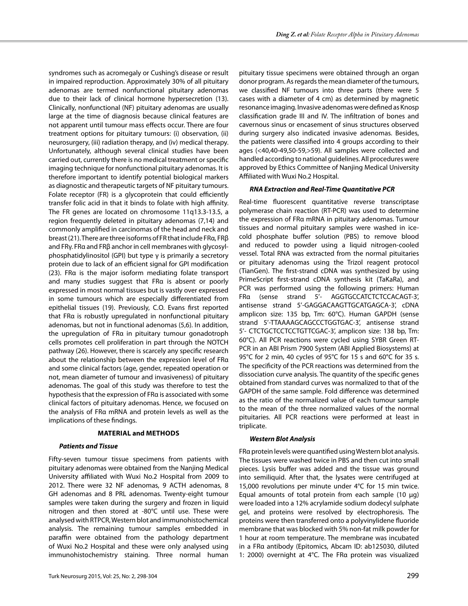syndromes such as acromegaly or Cushing's disease or result in impaired reproduction. Approximately 30% of all pituitary adenomas are termed nonfunctional pituitary adenomas due to their lack of clinical hormone hypersecretion (13). Clinically, nonfunctional (NF) pituitary adenomas are usually large at the time of diagnosis because clinical features are not apparent until tumour mass effects occur. There are four treatment options for pituitary tumours: (i) observation, (ii) neurosurgery, (iii) radiation therapy, and (iv) medical therapy. Unfortunately, although several clinical studies have been carried out, currently there is no medical treatment or specific imaging technique for nonfunctional pituitary adenomas. It is therefore important to identify potential biological markers as diagnostic and therapeutic targets of NF pituitary tumours. Folate receptor (FR) is a glycoprotein that could efficiently transfer folic acid in that it binds to folate with high affinity. The FR genes are located on chromosome 11q13.3-13.5, a region frequently deleted in pituitary adenomas (7,14) and commonly amplified in carcinomas of the head and neck and breast (21). There are three isoforms of FR that include FRα, FRβ and FRγ. FRα and FRβ anchor in cell membranes with glycosylphosphatidylinositol (GPI) but type γ is primarily a secretory protein due to lack of an efficient signal for GPI modification (23). FRα is the major isoform mediating folate transport and many studies suggest that FRα is absent or poorly expressed in most normal tissues but is vastly over expressed in some tumours which are especially differentiated from epithelial tissues (19). Previously, C.O. Evans first reported that FRα is robustly upregulated in nonfunctional pituitary adenomas, but not in functional adenomas (5,6). In addition, the upregulation of FRα in pituitary tumour gonadotroph cells promotes cell proliferation in part through the NOTCH pathway (26). However, there is scarcely any specific research about the relationship between the expression level of FRα and some clinical factors (age, gender, repeated operation or not, mean diameter of tumour and invasiveness) of pituitary adenomas. The goal of this study was therefore to test the hypothesis that the expression of FRα is associated with some clinical factors of pituitary adenomas. Hence, we focused on the analysis of FRα mRNA and protein levels as well as the implications of these findings.

# **Material and methods**

#### *Patients and Tissue*

Fifty-seven tumour tissue specimens from patients with pituitary adenomas were obtained from the Nanjing Medical University affiliated with Wuxi No.2 Hospital from 2009 to 2012. There were 32 NF adenomas, 9 ACTH adenomas, 8 GH adenomas and 8 PRL adenomas. Twenty-eight tumour samples were taken during the surgery and frozen in liquid nitrogen and then stored at -80°C until use. These were analysed with RTPCR, Western blot and immunohistochemical analysis. The remaining tumour samples embedded in paraffin were obtained from the pathology department of Wuxi No.2 Hospital and these were only analysed using immunohistochemistry staining. Three normal human

pituitary tissue specimens were obtained through an organ donor program. As regards the mean diameter of the tumours, we classified NF tumours into three parts (there were 5 cases with a diameter of 4 cm) as determined by magnetic resonance imaging. Invasive adenomas were defined as Knosp classification grade III and IV. The infiltration of bones and cavernous sinus or encasement of sinus structures observed during surgery also indicated invasive adenomas. Besides, the patients were classified into 4 groups according to their ages (<40,40-49,50-59,>59). All samples were collected and handled according to national guidelines. All procedures were approved by Ethics Committee of Nanjing Medical University Affiliated with Wuxi No.2 Hospital.

#### *RNA Extraction and Real-Time Quantitative PCR*

Real-time fluorescent quantitative reverse transcriptase polymerase chain reaction (RT-PCR) was used to determine the expression of FRα mRNA in pituitary adenomas. Tumour tissues and normal pituitary samples were washed in icecold phosphate buffer solution (PBS) to remove blood and reduced to powder using a liquid nitrogen-cooled vessel. Total RNA was extracted from the normal pituitaries or pituitary adenomas using the Trizol reagent protocol (TianGen). The first-strand cDNA was synthesized by using PrimeScript first-strand cDNA synthesis kit (TaKaRa), and PCR was performed using the following primers: Human FRα (sense strand 5'- AGGTGCCATCTCTCCACAGT-3', antisense strand 5'-GAGGACAAGTTGCATGAGCA-3', cDNA amplicon size: 135 bp, Tm: 60°C). Human GAPDH (sense strand 5'-TTAAAAGCAGCCCTGGTGAC-3', antisense strand 5'- CTCTGCTCCTCCTGTTCGAC-3', amplicon size: 138 bp, Tm: 60°C). All PCR reactions were cycled using SYBR Green RT-PCR in an ABI Prism 7900 System (ABI Applied Biosystems) at 95°C for 2 min, 40 cycles of 95°C for 15 s and 60°C for 35 s. The specificity of the PCR reactions was determined from the dissociation curve analysis. The quantity of the specific genes obtained from standard curves was normalized to that of the GAPDH of the same sample. Fold difference was determined as the ratio of the normalized value of each tumour sample to the mean of the three normalized values of the normal pituitaries. All PCR reactions were performed at least in triplicate.

## *Western Blot Analysis*

FRα protein levels were quantified using Western blot analysis. The tissues were washed twice in PBS and then cut into small pieces. Lysis buffer was added and the tissue was ground into semiliquid. After that, the lysates were centrifuged at 15,000 revolutions per minute under 4°C for 15 min twice. Equal amounts of total protein from each sample (10 μg) were loaded into a 12% acrylamide sodium dodecyl sulphate gel, and proteins were resolved by electrophoresis. The proteins were then transferred onto a polyvinylidene fluoride membrane that was blocked with 5% non-fat milk powder for 1 hour at room temperature. The membrane was incubated in a FRα antibody (Epitomics, Abcam ID: ab125030, diluted 1: 2000) overnight at 4°C. The FRα protein was visualized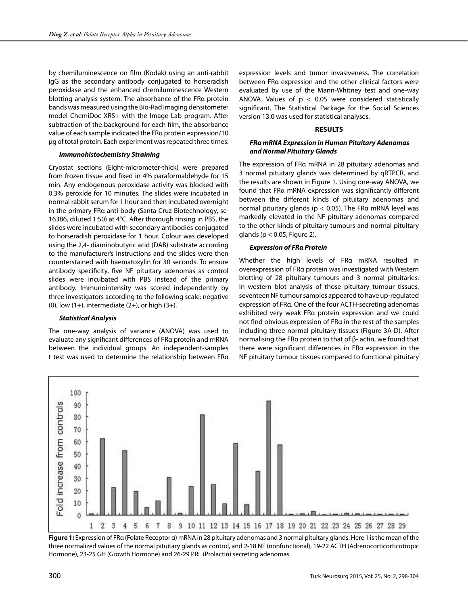by chemiluminescence on film (Kodak) using an anti-rabbit IgG as the secondary antibody conjugated to horseradish peroxidase and the enhanced chemiluminescence Western blotting analysis system. The absorbance of the FRα protein bands was measured using the Bio-Rad imaging densitometer model ChemiDoc XRS+ with the Image Lab program. After subtraction of the background for each film, the absorbance value of each sample indicated the FRα protein expression/10 μg of total protein. Each experiment was repeated three times.

## *Immunohistochemistry Straining*

Cryostat sections (Eight-micrometer-thick) were prepared from frozen tissue and fixed in 4% paraformaldehyde for 15 min. Any endogenous peroxidase activity was blocked with 0.3% peroxide for 10 minutes. The slides were incubated in normal rabbit serum for 1 hour and then incubated overnight in the primary FRα anti-body (Santa Cruz Biotechnology, sc-16386, diluted 1:50) at 4°C. After thorough rinsing in PBS, the slides were incubated with secondary antibodies conjugated to horseradish peroxidase for 1 hour. Colour was developed using the 2,4- diaminobutyric acid (DAB) substrate according to the manufacturer's instructions and the slides were then counterstained with haematoxylin for 30 seconds. To ensure antibody specificity, five NF pituitary adenomas as control slides were incubated with PBS instead of the primary antibody. Immunointensity was scored independently by three investigators according to the following scale: negative (0), low  $(1+)$ , intermediate  $(2+)$ , or high  $(3+)$ .

#### *Statistical Analysis*

The one-way analysis of variance (ANOVA) was used to evaluate any significant differences of FRα protein and mRNA between the individual groups. An independent-samples t test was used to determine the relationship between FRα expression levels and tumor invasiveness. The correlation between FRα expression and the other clinical factors were evaluated by use of the Mann-Whitney test and one-way ANOVA. Values of  $p < 0.05$  were considered statistically significant. The Statistical Package for the Social Sciences version 13.0 was used for statistical analyses.

# **Results**

# *FRα mRNA Expression in Human Pituitary Adenomas and Normal Pituitary Glands*

The expression of FRα mRNA in 28 pituitary adenomas and 3 normal pituitary glands was determined by qRTPCR, and the results are shown in Figure 1. Using one-way ANOVA, we found that FRα mRNA expression was significantly different between the different kinds of pituitary adenomas and normal pituitary glands ( $p < 0.05$ ). The FRa mRNA level was markedly elevated in the NF pituitary adenomas compared to the other kinds of pituitary tumours and normal pituitary glands ( $p < 0.05$ , Figure 2).

## *Expression of FRα Protein*

Whether the high levels of FRα mRNA resulted in overexpression of FRα protein was investigated with Western blotting of 28 pituitary tumours and 3 normal pituitaries. In western blot analysis of those pituitary tumour tissues, seventeen NF tumour samples appeared to have up-regulated expression of FRα. One of the four ACTH-secreting adenomas exhibited very weak FRα protein expression and we could not find obvious expression of FRα in the rest of the samples including three normal pituitary tissues (Figure 3A-D). After normalising the FRα protein to that of β- actin, we found that there were significant differences in FRα expression in the NF pituitary tumour tissues compared to functional pituitary



**Figure 1:** Expression of FRα (Folate Receptor α) mRNA in 28 pituitary adenomas and 3 normal pituitary glands. Here 1 is the mean of the three normalized values of the normal pituitary glands as control, and 2-18 NF (nonfunctional), 19-22 ACTH (Adrenocorticorticotropic Hormone), 23-25 GH (Growth Hormone) and 26-29 PRL (Prolactin) secreting adenomas.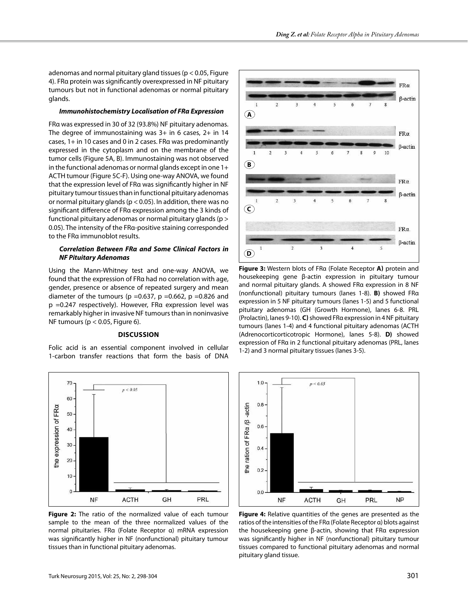adenomas and normal pituitary gland tissues (p < 0.05, Figure 4). FRα protein was significantly overexpressed in NF pituitary tumours but not in functional adenomas or normal pituitary glands.

#### *Immunohistochemistry Localisation of FRα Expression*

FRα was expressed in 30 of 32 (93.8%) NF pituitary adenomas. The degree of immunostaining was 3+ in 6 cases, 2+ in 14 cases, 1+ in 10 cases and 0 in 2 cases. FRα was predominantly expressed in the cytoplasm and on the membrane of the tumor cells (Figure 5A, B). Immunostaining was not observed in the functional adenomas or normal glands except in one 1+ ACTH tumour (Figure 5C-F). Using one-way ANOVA, we found that the expression level of FRα was significantly higher in NF pituitary tumour tissues than in functional pituitary adenomas or normal pituitary glands ( $p < 0.05$ ). In addition, there was no significant difference of FRα expression among the 3 kinds of functional pituitary adenomas or normal pituitary glands (p > 0.05). The intensity of the FRα-positive staining corresponded to the FRα immunoblot results.

# *Correlation Between FRα and Some Clinical Factors in NF Pituitary Adenomas*

Using the Mann-Whitney test and one-way ANOVA, we found that the expression of FRα had no correlation with age, gender, presence or absence of repeated surgery and mean diameter of the tumours ( $p = 0.637$ ,  $p = 0.662$ ,  $p = 0.826$  and p =0.247 respectively). However, FRα expression level was remarkably higher in invasive NF tumours than in noninvasive NF tumours ( $p < 0.05$ , Figure 6).

## **Discussion**

Folic acid is an essential component involved in cellular 1-carbon transfer reactions that form the basis of DNA



**Figure 2:** The ratio of the normalized value of each tumour sample to the mean of the three normalized values of the normal pituitaries. FRα (Folate Receptor α) mRNA expression was significantly higher in NF (nonfunctional) pituitary tumour tissues than in functional pituitary adenomas.



**Figure 3:** Western blots of FRα (Folate Receptor **α)** protein and housekeeping gene β-actin expression in pituitary tumour and normal pituitary glands. A showed FRα expression in 8 NF (nonfunctional) pituitary tumours (lanes 1-8). **B)** showed FRα expression in 5 NF pituitary tumours (lanes 1-5) and 5 functional pituitary adenomas (GH (Growth Hormone), lanes 6-8. PRL (Prolactin), lanes 9-10). **C)** showed FRα expression in 4 NF pituitary tumours (lanes 1-4) and 4 functional pituitary adenomas (ACTH (Adrenocorticorticotropic Hormone), lanes 5-8). **D)** showed expression of FRα in 2 functional pituitary adenomas (PRL, lanes 1-2) and 3 normal pituitary tissues (lanes 3-5).



**Figure 4:** Relative quantities of the genes are presented as the ratios of the intensities of the FRα (Folate Receptor α) blots against the housekeeping gene β-actin, showing that FRα expression was significantly higher in NF (nonfunctional) pituitary tumour tissues compared to functional pituitary adenomas and normal pituitary gland tissue.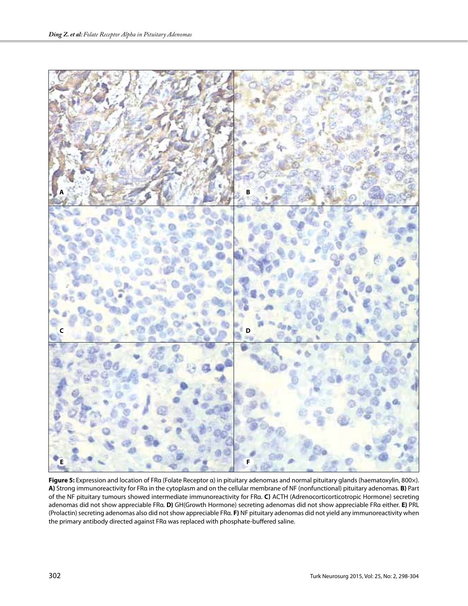

**Figure 5:** Expression and location of FRα (Folate Receptor α) in pituitary adenomas and normal pituitary glands (haematoxylin, 800×). **A)** Strong immunoreactivity for FRα in the cytoplasm and on the cellular membrane of NF (nonfunctional) pituitary adenomas. **B)** Part of the NF pituitary tumours showed intermediate immunoreactivity for FRα. **C)** ACTH (Adrenocorticorticotropic Hormone) secreting adenomas did not show appreciable FRα. **D)** GH(Growth Hormone) secreting adenomas did not show appreciable FRα either. **E)** PRL (Prolactin) secreting adenomas also did not show appreciable FRα. **F)** NF pituitary adenomas did not yield any immunoreactivity when the primary antibody directed against FRα was replaced with phosphate-buffered saline.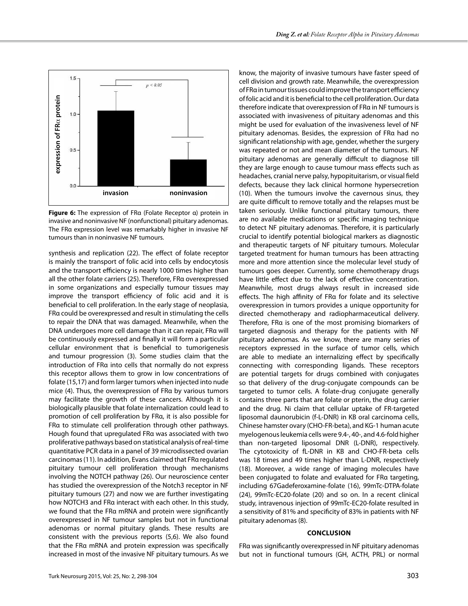

**Figure 6:** The expression of FRα (Folate Receptor α) protein in invasive and noninvasive NF (nonfunctional) pituitary adenomas. The FRα expression level was remarkably higher in invasive NF

synthesis and replication (22). The effect of folate receptor is mainly the transport of folic acid into cells by endocytosis and the transport efficiency is nearly 1000 times higher than all the other folate carriers (25). Therefore, FRα overexpressed in some organizations and especially tumour tissues may improve the transport efficiency of folic acid and it is beneficial to cell proliferation. In the early stage of neoplasia, FRα could be overexpressed and result in stimulating the cells to repair the DNA that was damaged. Meanwhile, when the DNA undergoes more cell damage than it can repair, FRα will be continuously expressed and finally it will form a particular cellular environment that is beneficial to tumorigenesis and tumour progression (3). Some studies claim that the introduction of FRα into cells that normally do not express this receptor allows them to grow in low concentrations of folate (15,17) and form larger tumors when injected into nude mice (4). Thus, the overexpression of FRα by various tumors may facilitate the growth of these cancers. Although it is biologically plausible that folate internalization could lead to promotion of cell proliferation by FRα, it is also possible for FRα to stimulate cell proliferation through other pathways. Hough found that upregulated FRα was associated with two proliferative pathways based on statistical analysis of real-time quantitative PCR data in a panel of 39 microdissected ovarian carcinomas (11). In addition, Evans claimed that FRα regulated pituitary tumour cell proliferation through mechanisms involving the NOTCH pathway (26). Our neuroscience center has studied the overexpression of the Notch3 receptor in NF pituitary tumours (27) and now we are further investigating how NOTCH3 and FRα interact with each other. In this study, we found that the FRα mRNA and protein were significantly overexpressed in NF tumour samples but not in functional adenomas or normal pituitary glands. These results are consistent with the previous reports (5,6). We also found that the FRα mRNA and protein expression was specifically increased in most of the invasive NF pituitary tumours. As we know, the majority of invasive tumours have faster speed of cell division and growth rate. Meanwhile, the overexpression of FRα in tumour tissues could improve the transport efficiency of folic acid and it is beneficial to the cell proliferation. Our data therefore indicate that overexpression of FRα in NF tumours is associated with invasiveness of pituitary adenomas and this might be used for evaluation of the invasiveness level of NF pituitary adenomas. Besides, the expression of FRα had no significant relationship with age, gender, whether the surgery was repeated or not and mean diameter of the tumours. NF pituitary adenomas are generally difficult to diagnose till they are large enough to cause tumour mass effects such as headaches, cranial nerve palsy, hypopituitarism, or visual field defects, because they lack clinical hormone hypersecretion (10). When the tumours involve the cavernous sinus, they are quite difficult to remove totally and the relapses must be taken seriously. Unlike functional pituitary tumours, there are no available medications or specific imaging technique to detect NF pituitary adenomas. Therefore, it is particularly crucial to identify potential biological markers as diagnostic and therapeutic targets of NF pituitary tumours. Molecular targeted treatment for human tumours has been attracting more and more attention since the molecular level study of tumours goes deeper. Currently, some chemotherapy drugs have little effect due to the lack of effective concentration. Meanwhile, most drugs always result in increased side effects. The high affinity of FRα for folate and its selective overexpression in tumors provides a unique opportunity for directed chemotherapy and radiopharmaceutical delivery. Therefore, FRα is one of the most promising biomarkers of targeted diagnosis and therapy for the patients with NF pituitary adenomas. As we know, there are many series of receptors expressed in the surface of tumor cells, which are able to mediate an internalizing effect by specifically connecting with corresponding ligands. These receptors are potential targets for drugs combined with conjugates so that delivery of the drug-conjugate compounds can be targeted to tumor cells. A folate-drug conjugate generally contains three parts that are folate or pterin, the drug carrier and the drug. Ni claim that cellular uptake of FR-targeted liposomal daunorubicin (f-L-DNR) in KB oral carcinoma cells, Chinese hamster ovary (CHO-FR-beta), and KG-1 human acute myelogenous leukemia cells were 9.4-, 40-, and 4.6-fold higher than non-targeted liposomal DNR (L-DNR), respectively. The cytotoxicity of fL-DNR in KB and CHO-FR-beta cells was 18 times and 49 times higher than L-DNR, respectively (18). Moreover, a wide range of imaging molecules have been conjugated to folate and evaluated for FRα targeting, including 67Gadeferoxamine-folate (16), 99mTc-DTPA-folate (24), 99mTc-EC20-folate (20) and so on. In a recent clinical study, intravenous injection of 99mTc-EC20-folate resulted in a sensitivity of 81% and specificity of 83% in patients with NF pituitary adenomas (8).

#### **Conclusion**

FRα was significantly overexpressed in NF pituitary adenomas but not in functional tumours (GH, ACTH, PRL) or normal